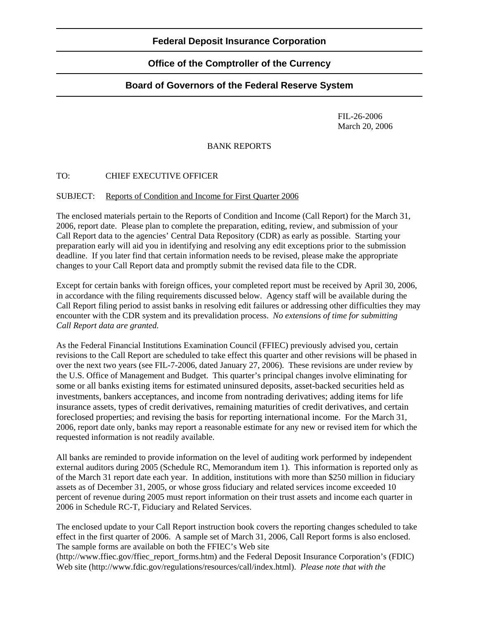### **Federal Deposit Insurance Corporation**

# **Office of the Comptroller of the Currency**

# **Board of Governors of the Federal Reserve System**

 FIL-26-2006 March 20, 2006

### BANK REPORTS

### TO: CHIEF EXECUTIVE OFFICER

#### SUBJECT: Reports of Condition and Income for First Quarter 2006

The enclosed materials pertain to the Reports of Condition and Income (Call Report) for the March 31, 2006, report date. Please plan to complete the preparation, editing, review, and submission of your Call Report data to the agencies' Central Data Repository (CDR) as early as possible. Starting your preparation early will aid you in identifying and resolving any edit exceptions prior to the submission deadline. If you later find that certain information needs to be revised, please make the appropriate changes to your Call Report data and promptly submit the revised data file to the CDR.

Except for certain banks with foreign offices, your completed report must be received by April 30, 2006, in accordance with the filing requirements discussed below. Agency staff will be available during the Call Report filing period to assist banks in resolving edit failures or addressing other difficulties they may encounter with the CDR system and its prevalidation process. *No extensions of time for submitting Call Report data are granted.*

As the Federal Financial Institutions Examination Council (FFIEC) previously advised you, certain revisions to the Call Report are scheduled to take effect this quarter and other revisions will be phased in over the next two years (see FIL-7-2006, dated January 27, 2006). These revisions are under review by the U.S. Office of Management and Budget. This quarter's principal changes involve eliminating for some or all banks existing items for estimated uninsured deposits, asset-backed securities held as investments, bankers acceptances, and income from nontrading derivatives; adding items for life insurance assets, types of credit derivatives, remaining maturities of credit derivatives, and certain foreclosed properties; and revising the basis for reporting international income. For the March 31, 2006, report date only, banks may report a reasonable estimate for any new or revised item for which the requested information is not readily available.

All banks are reminded to provide information on the level of auditing work performed by independent external auditors during 2005 (Schedule RC, Memorandum item 1). This information is reported only as of the March 31 report date each year. In addition, institutions with more than \$250 million in fiduciary assets as of December 31, 2005, or whose gross fiduciary and related services income exceeded 10 percent of revenue during 2005 must report information on their trust assets and income each quarter in 2006 in Schedule RC-T, Fiduciary and Related Services.

The enclosed update to your Call Report instruction book covers the reporting changes scheduled to take effect in the first quarter of 2006. A sample set of March 31, 2006, Call Report forms is also enclosed. The sample forms are available on both the FFIEC's Web site

(http://www.ffiec.gov/ffiec\_report\_forms.htm) and the Federal Deposit Insurance Corporation's (FDIC) Web site (http://www.fdic.gov/regulations/resources/call/index.html). *Please note that with the*